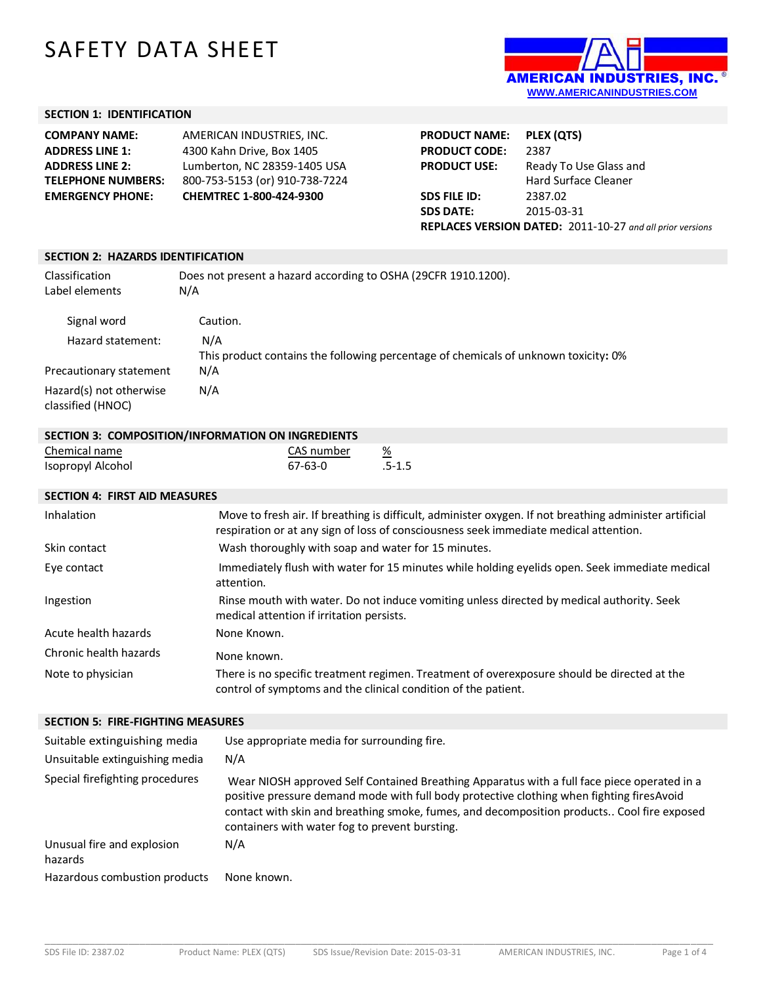# SAFETY DATA SHEET



## **SECTION 1: IDENTIFICATION**

| AMERICAN INDUSTRIES, INC.      |
|--------------------------------|
| 4300 Kahn Drive, Box 1405      |
| Lumberton, NC 28359-1405 USA   |
| 800-753-5153 (or) 910-738-7224 |
| CHEMTREC 1-800-424-9300        |
|                                |

| <b>PRODUCT NAME:</b>                                             | PLEX (QTS)             |  |
|------------------------------------------------------------------|------------------------|--|
| <b>PRODUCT CODE:</b>                                             | 2387                   |  |
| <b>PRODUCT USE:</b>                                              | Ready To Use Glass and |  |
|                                                                  | Hard Surface Cleaner   |  |
| <b>SDS FILE ID:</b>                                              | 2387.02                |  |
| <b>SDS DATE:</b>                                                 | 2015-03-31             |  |
| <b>REPLACES VERSION DATED:</b> 2011-10-27 and all prior versions |                        |  |

#### **SECTION 2: HAZARDS IDENTIFICATION**

| Classification<br>Label elements             | Does not present a hazard according to OSHA (29CFR 1910.1200).<br>N/A                      |
|----------------------------------------------|--------------------------------------------------------------------------------------------|
| Signal word                                  | Caution.                                                                                   |
| Hazard statement:                            | N/A<br>This product contains the following percentage of chemicals of unknown toxicity: 0% |
| Precautionary statement                      | N/A                                                                                        |
| Hazard(s) not otherwise<br>classified (HNOC) | N/A                                                                                        |

| SECTION 3: COMPOSITION/INFORMATION ON INGREDIENTS |            |            |
|---------------------------------------------------|------------|------------|
| Chemical name                                     | CAS number | %          |
| Isopropyl Alcohol                                 | 67-63-0    | $.5 - 1.5$ |

| <b>SECTION 4: FIRST AID MEASURES</b> |                                                                                                                                                                                                  |
|--------------------------------------|--------------------------------------------------------------------------------------------------------------------------------------------------------------------------------------------------|
| Inhalation                           | Move to fresh air. If breathing is difficult, administer oxygen. If not breathing administer artificial<br>respiration or at any sign of loss of consciousness seek immediate medical attention. |
| Skin contact                         | Wash thoroughly with soap and water for 15 minutes.                                                                                                                                              |
| Eye contact                          | Immediately flush with water for 15 minutes while holding eyelids open. Seek immediate medical<br>attention.                                                                                     |
| Ingestion                            | Rinse mouth with water. Do not induce vomiting unless directed by medical authority. Seek<br>medical attention if irritation persists.                                                           |
| Acute health hazards                 | None Known.                                                                                                                                                                                      |
| Chronic health hazards               | None known.                                                                                                                                                                                      |
| Note to physician                    | There is no specific treatment regimen. Treatment of overexposure should be directed at the<br>control of symptoms and the clinical condition of the patient.                                    |

## **SECTION 5: FIRE-FIGHTING MEASURES**

| Suitable extinguishing media<br>Unsuitable extinguishing media | Use appropriate media for surrounding fire.<br>N/A                                                                                                                                                                                                                                                                                        |
|----------------------------------------------------------------|-------------------------------------------------------------------------------------------------------------------------------------------------------------------------------------------------------------------------------------------------------------------------------------------------------------------------------------------|
| Special firefighting procedures                                | Wear NIOSH approved Self Contained Breathing Apparatus with a full face piece operated in a<br>positive pressure demand mode with full body protective clothing when fighting fires Avoid<br>contact with skin and breathing smoke, fumes, and decomposition products Cool fire exposed<br>containers with water fog to prevent bursting. |
| Unusual fire and explosion<br>hazards                          | N/A                                                                                                                                                                                                                                                                                                                                       |
| Hazardous combustion products                                  | None known.                                                                                                                                                                                                                                                                                                                               |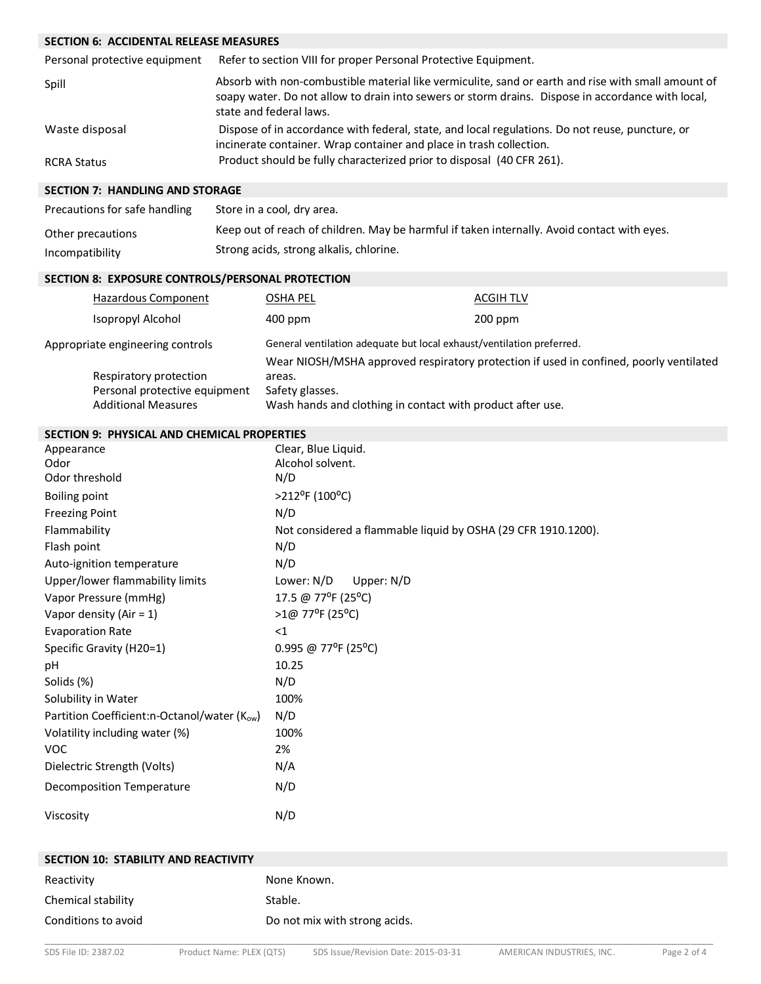# **SECTION 6: ACCIDENTAL RELEASE MEASURES**

| Personal protective equipment | Refer to section VIII for proper Personal Protective Equipment.                                                                                                                                                                    |
|-------------------------------|------------------------------------------------------------------------------------------------------------------------------------------------------------------------------------------------------------------------------------|
| Spill                         | Absorb with non-combustible material like vermiculite, sand or earth and rise with small amount of<br>soapy water. Do not allow to drain into sewers or storm drains. Dispose in accordance with local,<br>state and federal laws. |
| Waste disposal                | Dispose of in accordance with federal, state, and local regulations. Do not reuse, puncture, or<br>incinerate container. Wrap container and place in trash collection.                                                             |
| <b>RCRA Status</b>            | Product should be fully characterized prior to disposal (40 CFR 261).                                                                                                                                                              |

#### **SECTION 7: HANDLING AND STORAGE**

| Precautions for safe handling | Store in a cool, dry area.                                                                  |
|-------------------------------|---------------------------------------------------------------------------------------------|
| Other precautions             | Keep out of reach of children. May be harmful if taken internally. Avoid contact with eyes. |
| Incompatibility               | Strong acids, strong alkalis, chlorine.                                                     |

### **SECTION 8: EXPOSURE CONTROLS/PERSONAL PROTECTION**

| Hazardous Component              | OSHA PEL                                                                               | ACGIH TLV |
|----------------------------------|----------------------------------------------------------------------------------------|-----------|
| Isopropyl Alcohol                | 400 ppm                                                                                | $200$ ppm |
| Appropriate engineering controls | General ventilation adequate but local exhaust/ventilation preferred.                  |           |
|                                  | Wear NIOSH/MSHA approved respiratory protection if used in confined, poorly ventilated |           |
| Respiratory protection           | areas.                                                                                 |           |
| Personal protective equipment    | Safety glasses.                                                                        |           |
| <b>Additional Measures</b>       | Wash hands and clothing in contact with product after use.                             |           |

#### **SECTION 9: PHYSICAL AND CHEMICAL PROPERTIES**

| Appearance<br>Odor<br>Odor threshold        | Clear, Blue Liquid.<br>Alcohol solvent.<br>N/D                |
|---------------------------------------------|---------------------------------------------------------------|
| <b>Boiling point</b>                        | >212°F (100°C)                                                |
| <b>Freezing Point</b>                       | N/D                                                           |
| Flammability                                | Not considered a flammable liquid by OSHA (29 CFR 1910.1200). |
| Flash point                                 | N/D                                                           |
| Auto-ignition temperature                   | N/D                                                           |
| Upper/lower flammability limits             | Lower: N/D<br>Upper: N/D                                      |
| Vapor Pressure (mmHg)                       | 17.5 @ 77°F (25°C)                                            |
| Vapor density (Air = $1$ )                  | >1@ 77°F (25°C)                                               |
| <b>Evaporation Rate</b>                     | $<$ 1                                                         |
| Specific Gravity (H20=1)                    | 0.995 @ 77°F (25°C)                                           |
| рH                                          | 10.25                                                         |
| Solids (%)                                  | N/D                                                           |
| Solubility in Water                         | 100%                                                          |
| Partition Coefficient:n-Octanol/water (Kow) | N/D                                                           |
| Volatility including water (%)              | 100%                                                          |
| <b>VOC</b>                                  | 2%                                                            |
| Dielectric Strength (Volts)                 | N/A                                                           |
| Decomposition Temperature                   | N/D                                                           |
| Viscosity                                   | N/D                                                           |

| SECTION 10: STABILITY AND REACTIVITY |                               |
|--------------------------------------|-------------------------------|
| Reactivity                           | None Known.                   |
| Chemical stability                   | Stable.                       |
| Conditions to avoid                  | Do not mix with strong acids. |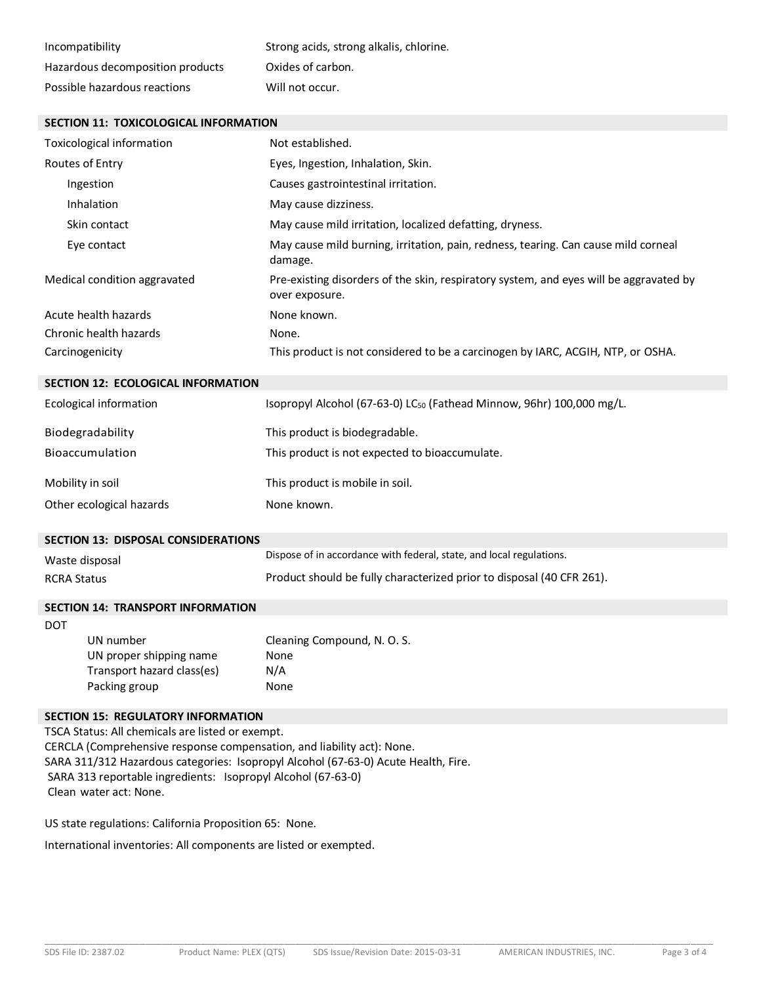| Incompatibility                  | Strong acids, strong alkalis, chlorine. |
|----------------------------------|-----------------------------------------|
| Hazardous decomposition products | Oxides of carbon.                       |
| Possible hazardous reactions     | Will not occur.                         |

### **SECTION 11: TOXICOLOGICAL INFORMATION**

|                    | Toxicological information                                                           | Not established.                                                                                         |
|--------------------|-------------------------------------------------------------------------------------|----------------------------------------------------------------------------------------------------------|
|                    | Routes of Entry                                                                     | Eyes, Ingestion, Inhalation, Skin.                                                                       |
|                    | Ingestion                                                                           | Causes gastrointestinal irritation.                                                                      |
|                    | Inhalation                                                                          | May cause dizziness.                                                                                     |
|                    | Skin contact                                                                        | May cause mild irritation, localized defatting, dryness.                                                 |
|                    | Eye contact                                                                         | May cause mild burning, irritation, pain, redness, tearing. Can cause mild corneal<br>damage.            |
|                    | Medical condition aggravated                                                        | Pre-existing disorders of the skin, respiratory system, and eyes will be aggravated by<br>over exposure. |
|                    | Acute health hazards                                                                | None known.                                                                                              |
|                    | Chronic health hazards                                                              | None.                                                                                                    |
|                    | Carcinogenicity                                                                     | This product is not considered to be a carcinogen by IARC, ACGIH, NTP, or OSHA.                          |
|                    | <b>SECTION 12: ECOLOGICAL INFORMATION</b>                                           |                                                                                                          |
|                    | <b>Ecological information</b>                                                       | Isopropyl Alcohol (67-63-0) LC <sub>50</sub> (Fathead Minnow, 96hr) 100,000 mg/L.                        |
|                    | Biodegradability                                                                    | This product is biodegradable.                                                                           |
|                    | Bioaccumulation                                                                     | This product is not expected to bioaccumulate.                                                           |
| Mobility in soil   |                                                                                     | This product is mobile in soil.                                                                          |
|                    | Other ecological hazards                                                            | None known.                                                                                              |
|                    | <b>SECTION 13: DISPOSAL CONSIDERATIONS</b>                                          |                                                                                                          |
| Waste disposal     |                                                                                     | Dispose of in accordance with federal, state, and local regulations.                                     |
| <b>RCRA Status</b> |                                                                                     | Product should be fully characterized prior to disposal (40 CFR 261).                                    |
|                    | <b>SECTION 14: TRANSPORT INFORMATION</b>                                            |                                                                                                          |
| <b>DOT</b>         | UN number<br>UN proper shipping name<br>Transport hazard class(es)<br>Packing group | Cleaning Compound, N. O. S.<br>None<br>N/A<br>None                                                       |

#### **SECTION 15: REGULATORY INFORMATION**

TSCA Status: All chemicals are listed or exempt. CERCLA (Comprehensive response compensation, and liability act): None. SARA 311/312 Hazardous categories: Isopropyl Alcohol (67-63-0) Acute Health, Fire. SARA 313 reportable ingredients: Isopropyl Alcohol (67-63-0) Clean water act: None.

US state regulations: California Proposition 65: None.

International inventories: All components are listed or exempted.